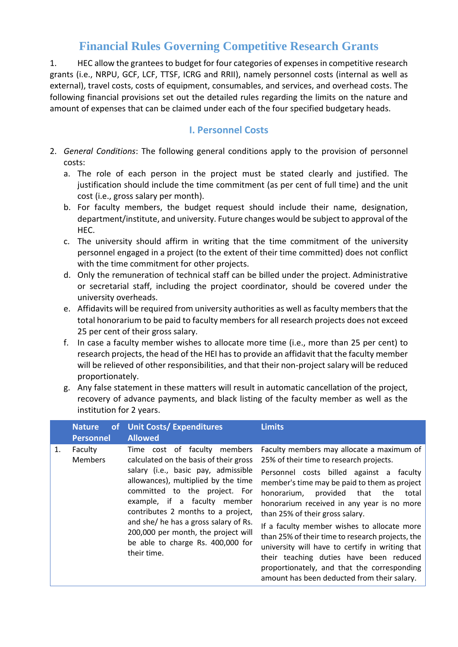## **Financial Rules Governing Competitive Research Grants**

1. HEC allow the grantees to budget for four categories of expenses in competitive research grants (i.e., NRPU, GCF, LCF, TTSF, ICRG and RRII), namely personnel costs (internal as well as external), travel costs, costs of equipment, consumables, and services, and overhead costs. The following financial provisions set out the detailed rules regarding the limits on the nature and amount of expenses that can be claimed under each of the four specified budgetary heads.

#### **I. Personnel Costs**

- 2. *General Conditions*: The following general conditions apply to the provision of personnel costs:
	- a. The role of each person in the project must be stated clearly and justified. The justification should include the time commitment (as per cent of full time) and the unit cost (i.e., gross salary per month).
	- b. For faculty members, the budget request should include their name, designation, department/institute, and university. Future changes would be subject to approval of the HEC.
	- c. The university should affirm in writing that the time commitment of the university personnel engaged in a project (to the extent of their time committed) does not conflict with the time commitment for other projects.
	- d. Only the remuneration of technical staff can be billed under the project. Administrative or secretarial staff, including the project coordinator, should be covered under the university overheads.
	- e. Affidavits will be required from university authorities as well as faculty members that the total honorarium to be paid to faculty members for all research projects does not exceed 25 per cent of their gross salary.
	- f. In case a faculty member wishes to allocate more time (i.e., more than 25 per cent) to research projects, the head of the HEI has to provide an affidavit that the faculty member will be relieved of other responsibilities, and that their non-project salary will be reduced proportionately.
	- g. Any false statement in these matters will result in automatic cancellation of the project, recovery of advance payments, and black listing of the faculty member as well as the institution for 2 years.

|    | <b>Nature</b><br><b>Personnel</b> | of Unit Costs/Expenditures<br><b>Allowed</b>                                                                                                                                                                                                                                                                                                                                                    | <b>Limits</b>                                                                                                                                                                                                                                                                                                                                                                                                                                                                                                                                                                                                    |
|----|-----------------------------------|-------------------------------------------------------------------------------------------------------------------------------------------------------------------------------------------------------------------------------------------------------------------------------------------------------------------------------------------------------------------------------------------------|------------------------------------------------------------------------------------------------------------------------------------------------------------------------------------------------------------------------------------------------------------------------------------------------------------------------------------------------------------------------------------------------------------------------------------------------------------------------------------------------------------------------------------------------------------------------------------------------------------------|
| 1. | Faculty<br><b>Members</b>         | Time cost of faculty members<br>calculated on the basis of their gross<br>salary (i.e., basic pay, admissible<br>allowances), multiplied by the time<br>committed to the project. For<br>example, if a faculty member<br>contributes 2 months to a project,<br>and she/ he has a gross salary of Rs.<br>200,000 per month, the project will<br>be able to charge Rs. 400,000 for<br>their time. | Faculty members may allocate a maximum of<br>25% of their time to research projects.<br>Personnel costs billed against a faculty<br>member's time may be paid to them as project<br>honorarium,<br>provided that<br>the<br>total<br>honorarium received in any year is no more<br>than 25% of their gross salary.<br>If a faculty member wishes to allocate more<br>than 25% of their time to research projects, the<br>university will have to certify in writing that<br>their teaching duties have been reduced<br>proportionately, and that the corresponding<br>amount has been deducted from their salary. |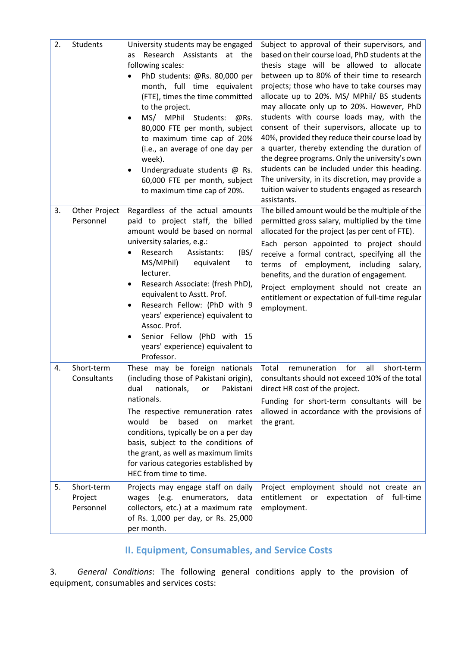| 2. | Students                           | University students may be engaged<br>Research Assistants at the<br>as<br>following scales:<br>PhD students: @Rs. 80,000 per<br>month, full time equivalent<br>(FTE), times the time committed<br>to the project.<br>MS/ MPhil<br>Students:<br>@RS.<br>80,000 FTE per month, subject<br>to maximum time cap of 20%<br>(i.e., an average of one day per<br>week).<br>Undergraduate students @ Rs.<br>60,000 FTE per month, subject<br>to maximum time cap of 20%.        | Subject to approval of their supervisors, and<br>based on their course load, PhD students at the<br>thesis stage will be allowed to allocate<br>between up to 80% of their time to research<br>projects; those who have to take courses may<br>allocate up to 20%. MS/ MPhil/ BS students<br>may allocate only up to 20%. However, PhD<br>students with course loads may, with the<br>consent of their supervisors, allocate up to<br>40%, provided they reduce their course load by<br>a quarter, thereby extending the duration of<br>the degree programs. Only the university's own<br>students can be included under this heading.<br>The university, in its discretion, may provide a<br>tuition waiver to students engaged as research<br>assistants. |
|----|------------------------------------|-------------------------------------------------------------------------------------------------------------------------------------------------------------------------------------------------------------------------------------------------------------------------------------------------------------------------------------------------------------------------------------------------------------------------------------------------------------------------|-------------------------------------------------------------------------------------------------------------------------------------------------------------------------------------------------------------------------------------------------------------------------------------------------------------------------------------------------------------------------------------------------------------------------------------------------------------------------------------------------------------------------------------------------------------------------------------------------------------------------------------------------------------------------------------------------------------------------------------------------------------|
| 3. | Other Project<br>Personnel         | Regardless of the actual amounts<br>paid to project staff, the billed<br>amount would be based on normal<br>university salaries, e.g.:<br>Research<br>Assistants:<br>(BS)<br>٠<br>MS/MPhil)<br>equivalent<br>to<br>lecturer.<br>Research Associate: (fresh PhD),<br>٠<br>equivalent to Asstt. Prof.<br>Research Fellow: (PhD with 9<br>years' experience) equivalent to<br>Assoc. Prof.<br>Senior Fellow (PhD with 15<br>years' experience) equivalent to<br>Professor. | The billed amount would be the multiple of the<br>permitted gross salary, multiplied by the time<br>allocated for the project (as per cent of FTE).<br>Each person appointed to project should<br>receive a formal contract, specifying all the<br>terms of employment,<br>including salary,<br>benefits, and the duration of engagement.<br>Project employment should not create an<br>entitlement or expectation of full-time regular<br>employment.                                                                                                                                                                                                                                                                                                      |
| 4. | Short-term<br>Consultants          | These may be foreign nationals<br>(including those of Pakistani origin),<br>dual<br>Pakistani<br>nationals,<br>or<br>nationals.<br>The respective remuneration rates<br>based<br>would<br>be<br>market<br>on<br>conditions, typically be on a per day<br>basis, subject to the conditions of<br>the grant, as well as maximum limits<br>for various categories established by<br>HEC from time to time.                                                                 | remuneration<br>for<br>all<br>Total<br>short-term<br>consultants should not exceed 10% of the total<br>direct HR cost of the project.<br>Funding for short-term consultants will be<br>allowed in accordance with the provisions of<br>the grant.                                                                                                                                                                                                                                                                                                                                                                                                                                                                                                           |
| 5. | Short-term<br>Project<br>Personnel | Projects may engage staff on daily<br>wages (e.g. enumerators, data<br>collectors, etc.) at a maximum rate<br>of Rs. 1,000 per day, or Rs. 25,000<br>per month.                                                                                                                                                                                                                                                                                                         | Project employment should not create an<br>entitlement or expectation of full-time<br>employment.                                                                                                                                                                                                                                                                                                                                                                                                                                                                                                                                                                                                                                                           |

# **II. Equipment, Consumables, and Service Costs**

3. *General Conditions*: The following general conditions apply to the provision of equipment, consumables and services costs: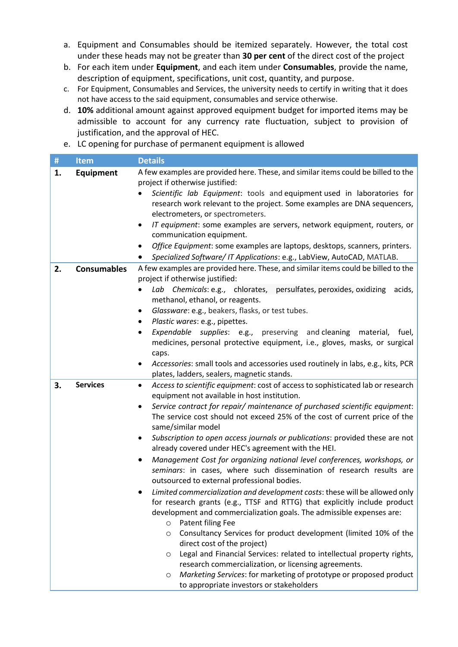- a. Equipment and Consumables should be itemized separately. However, the total cost under these heads may not be greater than **30 per cent** of the direct cost of the project
- b. For each item under **Equipment**, and each item under **Consumables**, provide the name, description of equipment, specifications, unit cost, quantity, and purpose.
- c. For Equipment, Consumables and Services, the university needs to certify in writing that it does not have access to the said equipment, consumables and service otherwise.
- d. **10%** additional amount against approved equipment budget for imported items may be admissible to account for any currency rate fluctuation, subject to provision of justification, and the approval of HEC.
- e. LC opening for purchase of permanent equipment is allowed

| $\pmb{\sharp}$ | <b>Item</b>        | <b>Details</b>                                                                                                                                                                                                                                                                                                                                                                                                                                                                                                                                                                                                                                                                                                                                                                                                                                                                                                                                                                                                                                                                                                                                                                                                                                                                                                                                                          |  |
|----------------|--------------------|-------------------------------------------------------------------------------------------------------------------------------------------------------------------------------------------------------------------------------------------------------------------------------------------------------------------------------------------------------------------------------------------------------------------------------------------------------------------------------------------------------------------------------------------------------------------------------------------------------------------------------------------------------------------------------------------------------------------------------------------------------------------------------------------------------------------------------------------------------------------------------------------------------------------------------------------------------------------------------------------------------------------------------------------------------------------------------------------------------------------------------------------------------------------------------------------------------------------------------------------------------------------------------------------------------------------------------------------------------------------------|--|
| 1.             | Equipment          | A few examples are provided here. These, and similar items could be billed to the<br>project if otherwise justified:<br>Scientific lab Equipment: tools and equipment used in laboratories for<br>$\bullet$<br>research work relevant to the project. Some examples are DNA sequencers,<br>electrometers, or spectrometers.<br>IT equipment: some examples are servers, network equipment, routers, or<br>٠<br>communication equipment.<br>Office Equipment: some examples are laptops, desktops, scanners, printers.<br>٠<br>Specialized Software/ IT Applications: e.g., LabView, AutoCAD, MATLAB.                                                                                                                                                                                                                                                                                                                                                                                                                                                                                                                                                                                                                                                                                                                                                                    |  |
| 2.             | <b>Consumables</b> | A few examples are provided here. These, and similar items could be billed to the<br>project if otherwise justified:<br>Lab Chemicals: e.g., chlorates, persulfates, peroxides, oxidizing<br>acids,<br>$\bullet$<br>methanol, ethanol, or reagents.<br>Glassware: e.g., beakers, flasks, or test tubes.<br>٠<br>Plastic wares: e.g., pipettes.<br>$\bullet$<br>Expendable supplies: e.g., preserving and cleaning material, fuel,<br>$\bullet$<br>medicines, personal protective equipment, i.e., gloves, masks, or surgical<br>caps.<br>Accessories: small tools and accessories used routinely in labs, e.g., kits, PCR<br>$\bullet$<br>plates, ladders, sealers, magnetic stands.                                                                                                                                                                                                                                                                                                                                                                                                                                                                                                                                                                                                                                                                                    |  |
| 3.             | <b>Services</b>    | Access to scientific equipment: cost of access to sophisticated lab or research<br>$\bullet$<br>equipment not available in host institution.<br>Service contract for repair/ maintenance of purchased scientific equipment:<br>$\bullet$<br>The service cost should not exceed 25% of the cost of current price of the<br>same/similar model<br>Subscription to open access journals or publications: provided these are not<br>$\bullet$<br>already covered under HEC's agreement with the HEI.<br>Management Cost for organizing national level conferences, workshops, or<br>$\bullet$<br>seminars: in cases, where such dissemination of research results are<br>outsourced to external professional bodies.<br>Limited commercialization and development costs: these will be allowed only<br>for research grants (e.g., TTSF and RTTG) that explicitly include product<br>development and commercialization goals. The admissible expenses are:<br>Patent filing Fee<br>$\circ$<br>Consultancy Services for product development (limited 10% of the<br>$\circ$<br>direct cost of the project)<br>Legal and Financial Services: related to intellectual property rights,<br>$\circ$<br>research commercialization, or licensing agreements.<br>Marketing Services: for marketing of prototype or proposed product<br>O<br>to appropriate investors or stakeholders |  |